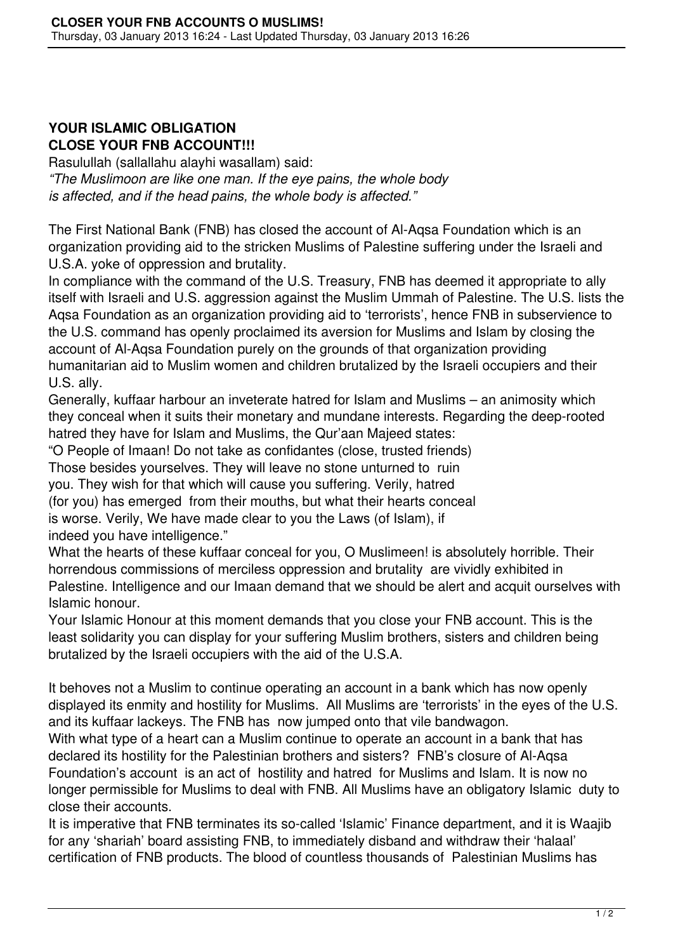## **YOUR ISLAMIC OBLIGATION CLOSE YOUR FNB ACCOUNT!!!**

Rasulullah (sallallahu alayhi wasallam) said: *"The Muslimoon are like one man. If the eye pains, the whole body is affected, and if the head pains, the whole body is affected."*

The First National Bank (FNB) has closed the account of Al-Aqsa Foundation which is an organization providing aid to the stricken Muslims of Palestine suffering under the Israeli and U.S.A. yoke of oppression and brutality.

In compliance with the command of the U.S. Treasury, FNB has deemed it appropriate to ally itself with Israeli and U.S. aggression against the Muslim Ummah of Palestine. The U.S. lists the Aqsa Foundation as an organization providing aid to 'terrorists', hence FNB in subservience to the U.S. command has openly proclaimed its aversion for Muslims and Islam by closing the account of Al-Aqsa Foundation purely on the grounds of that organization providing humanitarian aid to Muslim women and children brutalized by the Israeli occupiers and their U.S. ally.

Generally, kuffaar harbour an inveterate hatred for Islam and Muslims – an animosity which they conceal when it suits their monetary and mundane interests. Regarding the deep-rooted hatred they have for Islam and Muslims, the Qur'aan Majeed states:

"O People of Imaan! Do not take as confidantes (close, trusted friends)

Those besides yourselves. They will leave no stone unturned to ruin

you. They wish for that which will cause you suffering. Verily, hatred

(for you) has emerged from their mouths, but what their hearts conceal is worse. Verily, We have made clear to you the Laws (of Islam), if indeed you have intelligence."

What the hearts of these kuffaar conceal for you, O Muslimeen! is absolutely horrible. Their horrendous commissions of merciless oppression and brutality are vividly exhibited in Palestine. Intelligence and our Imaan demand that we should be alert and acquit ourselves with Islamic honour.

Your Islamic Honour at this moment demands that you close your FNB account. This is the least solidarity you can display for your suffering Muslim brothers, sisters and children being brutalized by the Israeli occupiers with the aid of the U.S.A.

It behoves not a Muslim to continue operating an account in a bank which has now openly displayed its enmity and hostility for Muslims. All Muslims are 'terrorists' in the eyes of the U.S. and its kuffaar lackeys. The FNB has now jumped onto that vile bandwagon.

With what type of a heart can a Muslim continue to operate an account in a bank that has declared its hostility for the Palestinian brothers and sisters? FNB's closure of Al-Aqsa Foundation's account is an act of hostility and hatred for Muslims and Islam. It is now no longer permissible for Muslims to deal with FNB. All Muslims have an obligatory Islamic duty to close their accounts.

It is imperative that FNB terminates its so-called 'Islamic' Finance department, and it is Waajib for any 'shariah' board assisting FNB, to immediately disband and withdraw their 'halaal' certification of FNB products. The blood of countless thousands of Palestinian Muslims has